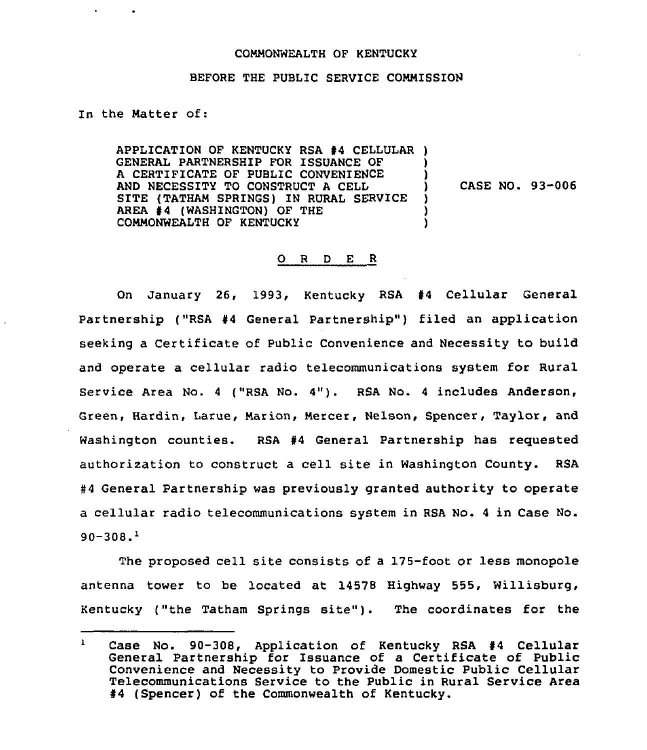## COMMONWEALTH OF KENTUCKY

## BEFORE THE PUBLIC SERVICE CONNISSION

In the Natter of:

APPLICATION OF KENTUCKY RSA #4 CELLULAR ) GENERAL PARTNERSHIP FOR ISSUANCE OF A CERTIFICATE OF PUBLIC CONVENIENCE AND NECESSITY TO CONSTRUCT A CELL SITE (TATHAM SPRINGS) IN RURAL SERVICE AREA #4 (WASHINGTON) OF THE COMMONWEALTH OF KENTUCKY

) CASE NO. 93-006

) )

> ) ) )

## 0 <sup>R</sup> <sup>D</sup> E <sup>R</sup>

On January 26, 1993, Kentucky RSA #4 Cellular General Partnership ("RSA #4 General Partnership") filed an application seeking a Certificate of Public Convenience and Necessity to build and operate a cellular radio telecommunications system for Rural Service Area No. <sup>4</sup> ("RSA No. 4"). RSA No. <sup>4</sup> includes Anderson, Green, Hardin, Larue, Narion, Nercer, Nelson, Spencer, Taylor, and Washington counties. RSA #4 General Partnership has requested authorization to construct a cell site in Washington County. RSA #4 General Partnership was previously granted authority to operate a cellular radio telecommunications system in RSA No. <sup>4</sup> in Case No.  $90 - 308<sup>1</sup>$ 

The proposed cell site consists of a 175-foot or less monopole antenna tower to be located at 14578 Highway 555, Willisburg, Kentucky ("the Tatham Springs site"). The coordinates for the

 $\mathbf{1}$ Case No. 90-308, Application of Kentucky RSA #4 Cellular General Partnership for Issuance of a Certificate of Public Convenience and Necessity to Provide Domestic Public Cellular Telecommunications Service to the Public in Rural Service Area  $#4$  (Spencer) of the Commonwealth of Kentucky.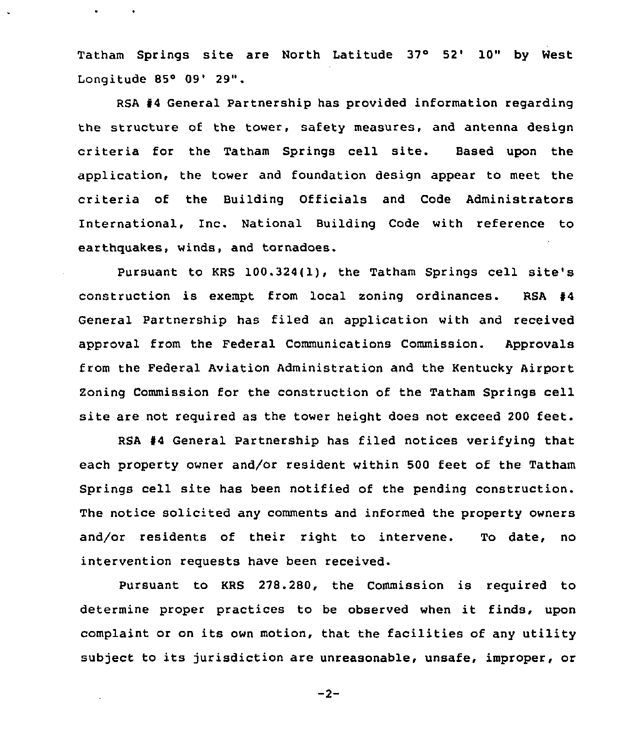Tatham Springs site are North Latitude 37° 52' 10" by West Longitude 85° 09' 29".

RSA 44 General Partnership has provided information regarding the structure of the tower, safety measures, and antenna design criteria for the Tatham Springs cell site. Based upon the application, the tower and foundation design appear to meet the criteria of the Building Officials and Code Administrators International, Inc. National Building Code with reference to earthquakes, winds, and tornadoes.

Pursuant to KRS 100.324(1), the Tatham Springs cell site's construction is exempt trom local soning ordinances. RSA 44 General Partnership has filed an application with and received approval from the Federal Communications Commission. Approvals from the Federal Aviation Administration and the Kentucky Airport Zoning Commission for the construction of the Tatham Springs cell site are not required as the tower height does not exceed <sup>200</sup> feet.

RSA 44 General Partnership has filed notices verifying that each property owner and/or resident within 500 feet of the Tatham Springs cell site has been notified of the pending construction. The notice solicited any comments and informed the property owners and/or residents of their right to intervene. To date, no intervention requests have been received.

Pursuant to KRS 278.280, the Commission is required to determine proper practices to be observed when it finds, upon complaint or on its own motion, that the facilities of any utility subject to its jurisdiction are unreasonable, unsafe, improper, or

 $-2-$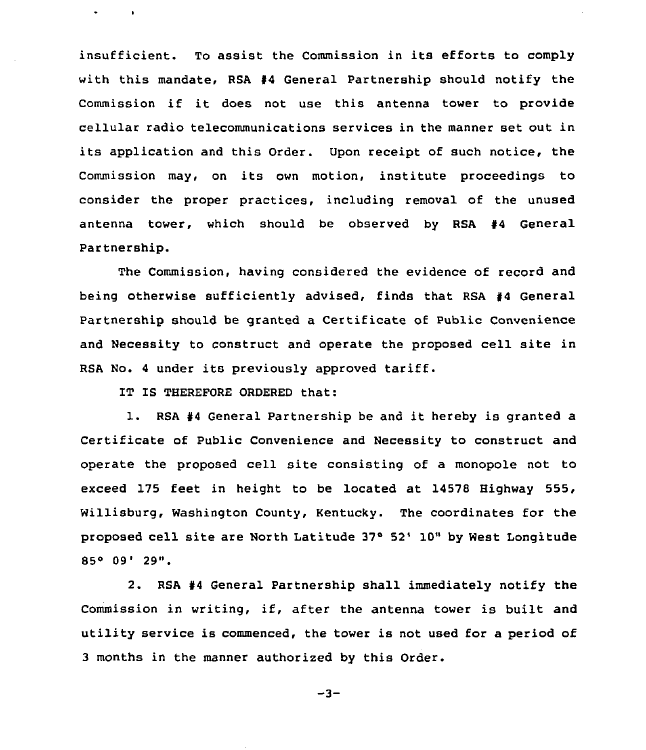insufficient. To assist the Commission in its efforts to comply with this mandate, RSA  $#4$  General Partnership should notify the Commission if it does not use this antenna tower to provide cellular radio telecommunications services in the manner set out in its application and this Order. Upon receipt of such notice, the Commission may, on its own motion, institute proceedings to consider the proper practices, including removal of the unused antenna tower, which should be observed by RSA  $#4$  General Partnership.

The Commission, having considered the evidence of record and being otherwise sufficiently advised, finds that RSA #4 General Partnership should be granted a Certificate of Public Convenience and Necessity to construct and operate the proposed cell site in RSA No. <sup>4</sup> under its previously approved tariff.

IT IS THEREFORE ORDERED that:

**Contractor** 

 $\bullet$ 

1. RSA #4 General Partnership be and it hereby is granted a Certificate of Public Convenience and Necessity to construct and operate the proposed cell site consisting of a monopole not to exceed 175 feet in height to be located at 14578 Highway 555, Willisburg, Washington County, Kentucky. The coordinates for the proposed cell site are North Latitude 37° 52' 10" by West Longitude 85° 09' 29".

2. RSA #4 General Partnership shall immediately notify the Commission in writing, if, after the antenna tower is built and utility service is commenced, the tower is not used for a period of 3 months in the manner authorized by this Order.

 $-3-$